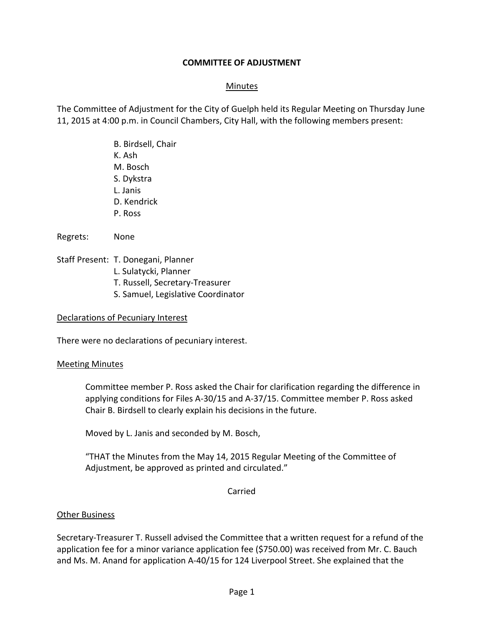### **COMMITTEE OF ADJUSTMENT**

### Minutes

The Committee of Adjustment for the City of Guelph held its Regular Meeting on Thursday June 11, 2015 at 4:00 p.m. in Council Chambers, City Hall, with the following members present:

> B. Birdsell, Chair K. Ash M. Bosch S. Dykstra L. Janis D. Kendrick P. Ross

Regrets: None

Staff Present: T. Donegani, Planner

- L. Sulatycki, Planner
- T. Russell, Secretary-Treasurer
- S. Samuel, Legislative Coordinator

#### Declarations of Pecuniary Interest

There were no declarations of pecuniary interest.

### Meeting Minutes

Committee member P. Ross asked the Chair for clarification regarding the difference in applying conditions for Files A-30/15 and A-37/15. Committee member P. Ross asked Chair B. Birdsell to clearly explain his decisions in the future.

Moved by L. Janis and seconded by M. Bosch,

"THAT the Minutes from the May 14, 2015 Regular Meeting of the Committee of Adjustment, be approved as printed and circulated."

### Carried

### Other Business

Secretary-Treasurer T. Russell advised the Committee that a written request for a refund of the application fee for a minor variance application fee (\$750.00) was received from Mr. C. Bauch and Ms. M. Anand for application A-40/15 for 124 Liverpool Street. She explained that the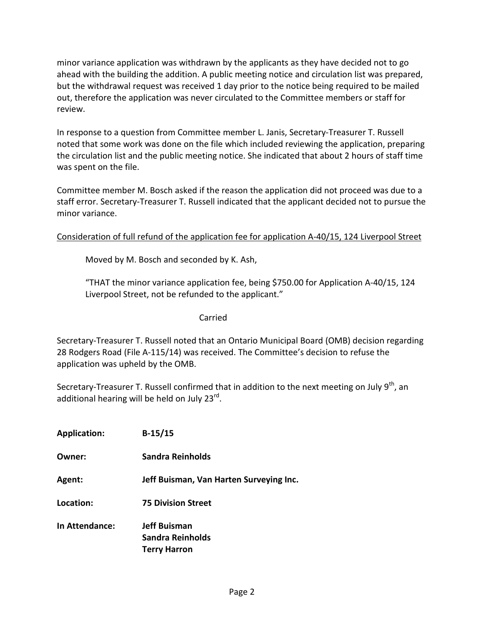minor variance application was withdrawn by the applicants as they have decided not to go ahead with the building the addition. A public meeting notice and circulation list was prepared, but the withdrawal request was received 1 day prior to the notice being required to be mailed out, therefore the application was never circulated to the Committee members or staff for review.

In response to a question from Committee member L. Janis, Secretary-Treasurer T. Russell noted that some work was done on the file which included reviewing the application, preparing the circulation list and the public meeting notice. She indicated that about 2 hours of staff time was spent on the file.

Committee member M. Bosch asked if the reason the application did not proceed was due to a staff error. Secretary-Treasurer T. Russell indicated that the applicant decided not to pursue the minor variance.

Consideration of full refund of the application fee for application A-40/15, 124 Liverpool Street

Moved by M. Bosch and seconded by K. Ash,

"THAT the minor variance application fee, being \$750.00 for Application A-40/15, 124 Liverpool Street, not be refunded to the applicant."

Carried

Secretary-Treasurer T. Russell noted that an Ontario Municipal Board (OMB) decision regarding 28 Rodgers Road (File A-115/14) was received. The Committee's decision to refuse the application was upheld by the OMB.

Secretary-Treasurer T. Russell confirmed that in addition to the next meeting on July  $9<sup>th</sup>$ , an additional hearing will be held on July 23<sup>rd</sup>.

| Sandra Reinholds<br>Owner:<br>Agent:<br>Location:<br><b>75 Division Street</b><br><b>In Attendance:</b><br><b>Jeff Buisman</b><br>Sandra Reinholds<br><b>Terry Harron</b> | <b>Application:</b> | $B-15/15$                               |
|---------------------------------------------------------------------------------------------------------------------------------------------------------------------------|---------------------|-----------------------------------------|
|                                                                                                                                                                           |                     |                                         |
|                                                                                                                                                                           |                     | Jeff Buisman, Van Harten Surveying Inc. |
|                                                                                                                                                                           |                     |                                         |
|                                                                                                                                                                           |                     |                                         |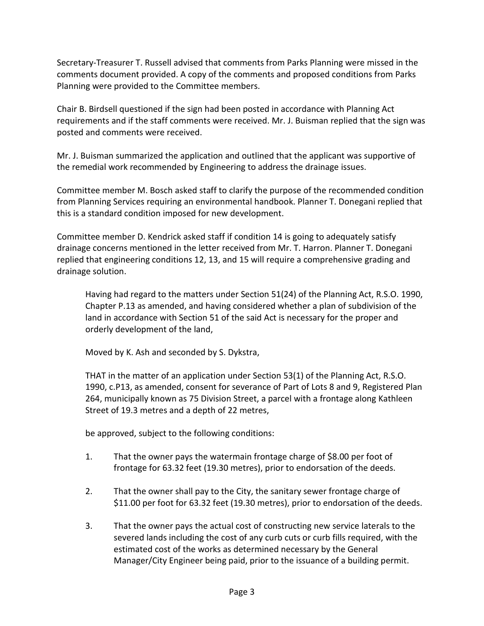Secretary-Treasurer T. Russell advised that comments from Parks Planning were missed in the comments document provided. A copy of the comments and proposed conditions from Parks Planning were provided to the Committee members.

Chair B. Birdsell questioned if the sign had been posted in accordance with Planning Act requirements and if the staff comments were received. Mr. J. Buisman replied that the sign was posted and comments were received.

Mr. J. Buisman summarized the application and outlined that the applicant was supportive of the remedial work recommended by Engineering to address the drainage issues.

Committee member M. Bosch asked staff to clarify the purpose of the recommended condition from Planning Services requiring an environmental handbook. Planner T. Donegani replied that this is a standard condition imposed for new development.

Committee member D. Kendrick asked staff if condition 14 is going to adequately satisfy drainage concerns mentioned in the letter received from Mr. T. Harron. Planner T. Donegani replied that engineering conditions 12, 13, and 15 will require a comprehensive grading and drainage solution.

Having had regard to the matters under Section 51(24) of the Planning Act, R.S.O. 1990, Chapter P.13 as amended, and having considered whether a plan of subdivision of the land in accordance with Section 51 of the said Act is necessary for the proper and orderly development of the land,

Moved by K. Ash and seconded by S. Dykstra,

THAT in the matter of an application under Section 53(1) of the Planning Act, R.S.O. 1990, c.P13, as amended, consent for severance of Part of Lots 8 and 9, Registered Plan 264, municipally known as 75 Division Street, a parcel with a frontage along Kathleen Street of 19.3 metres and a depth of 22 metres,

be approved, subject to the following conditions:

- 1. That the owner pays the watermain frontage charge of \$8.00 per foot of frontage for 63.32 feet (19.30 metres), prior to endorsation of the deeds.
- 2. That the owner shall pay to the City, the sanitary sewer frontage charge of \$11.00 per foot for 63.32 feet (19.30 metres), prior to endorsation of the deeds.
- 3. That the owner pays the actual cost of constructing new service laterals to the severed lands including the cost of any curb cuts or curb fills required, with the estimated cost of the works as determined necessary by the General Manager/City Engineer being paid, prior to the issuance of a building permit.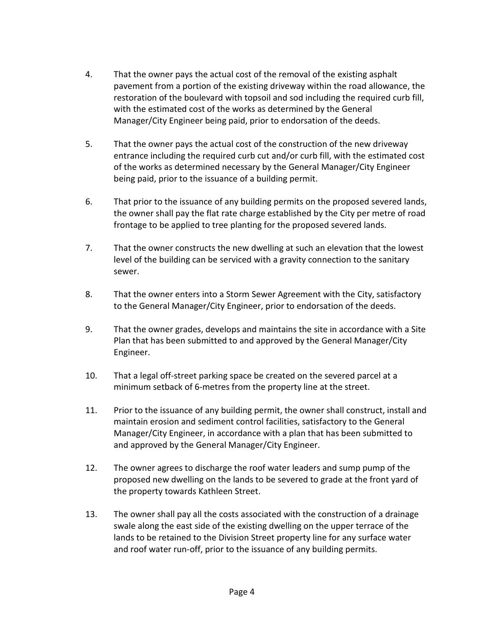- 4. That the owner pays the actual cost of the removal of the existing asphalt pavement from a portion of the existing driveway within the road allowance, the restoration of the boulevard with topsoil and sod including the required curb fill, with the estimated cost of the works as determined by the General Manager/City Engineer being paid, prior to endorsation of the deeds.
- 5. That the owner pays the actual cost of the construction of the new driveway entrance including the required curb cut and/or curb fill, with the estimated cost of the works as determined necessary by the General Manager/City Engineer being paid, prior to the issuance of a building permit.
- 6. That prior to the issuance of any building permits on the proposed severed lands, the owner shall pay the flat rate charge established by the City per metre of road frontage to be applied to tree planting for the proposed severed lands.
- 7. That the owner constructs the new dwelling at such an elevation that the lowest level of the building can be serviced with a gravity connection to the sanitary sewer.
- 8. That the owner enters into a Storm Sewer Agreement with the City, satisfactory to the General Manager/City Engineer, prior to endorsation of the deeds.
- 9. That the owner grades, develops and maintains the site in accordance with a Site Plan that has been submitted to and approved by the General Manager/City Engineer.
- 10. That a legal off-street parking space be created on the severed parcel at a minimum setback of 6-metres from the property line at the street.
- 11. Prior to the issuance of any building permit, the owner shall construct, install and maintain erosion and sediment control facilities, satisfactory to the General Manager/City Engineer, in accordance with a plan that has been submitted to and approved by the General Manager/City Engineer.
- 12. The owner agrees to discharge the roof water leaders and sump pump of the proposed new dwelling on the lands to be severed to grade at the front yard of the property towards Kathleen Street.
- 13. The owner shall pay all the costs associated with the construction of a drainage swale along the east side of the existing dwelling on the upper terrace of the lands to be retained to the Division Street property line for any surface water and roof water run-off, prior to the issuance of any building permits.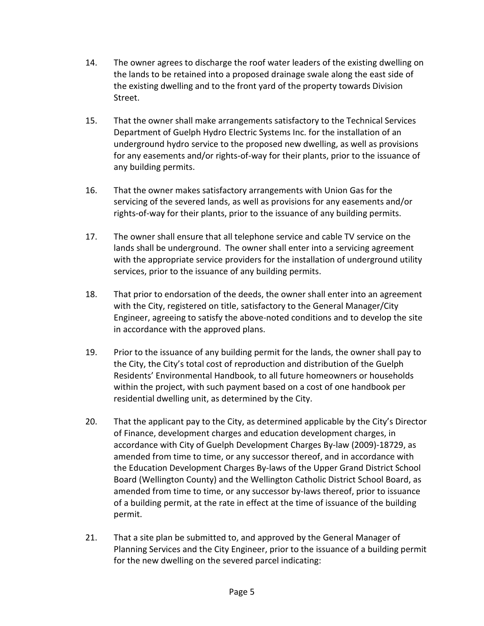- 14. The owner agrees to discharge the roof water leaders of the existing dwelling on the lands to be retained into a proposed drainage swale along the east side of the existing dwelling and to the front yard of the property towards Division Street.
- 15. That the owner shall make arrangements satisfactory to the Technical Services Department of Guelph Hydro Electric Systems Inc. for the installation of an underground hydro service to the proposed new dwelling, as well as provisions for any easements and/or rights-of-way for their plants, prior to the issuance of any building permits.
- 16. That the owner makes satisfactory arrangements with Union Gas for the servicing of the severed lands, as well as provisions for any easements and/or rights-of-way for their plants, prior to the issuance of any building permits.
- 17. The owner shall ensure that all telephone service and cable TV service on the lands shall be underground. The owner shall enter into a servicing agreement with the appropriate service providers for the installation of underground utility services, prior to the issuance of any building permits.
- 18. That prior to endorsation of the deeds, the owner shall enter into an agreement with the City, registered on title, satisfactory to the General Manager/City Engineer, agreeing to satisfy the above-noted conditions and to develop the site in accordance with the approved plans.
- 19. Prior to the issuance of any building permit for the lands, the owner shall pay to the City, the City's total cost of reproduction and distribution of the Guelph Residents' Environmental Handbook, to all future homeowners or households within the project, with such payment based on a cost of one handbook per residential dwelling unit, as determined by the City.
- 20. That the applicant pay to the City, as determined applicable by the City's Director of Finance, development charges and education development charges, in accordance with City of Guelph Development Charges By-law (2009)-18729, as amended from time to time, or any successor thereof, and in accordance with the Education Development Charges By-laws of the Upper Grand District School Board (Wellington County) and the Wellington Catholic District School Board, as amended from time to time, or any successor by-laws thereof, prior to issuance of a building permit, at the rate in effect at the time of issuance of the building permit.
- 21. That a site plan be submitted to, and approved by the General Manager of Planning Services and the City Engineer, prior to the issuance of a building permit for the new dwelling on the severed parcel indicating: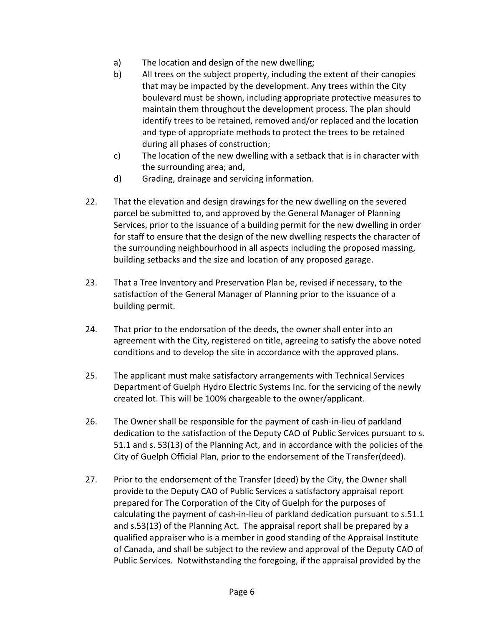- a) The location and design of the new dwelling;
- b) All trees on the subject property, including the extent of their canopies that may be impacted by the development. Any trees within the City boulevard must be shown, including appropriate protective measures to maintain them throughout the development process. The plan should identify trees to be retained, removed and/or replaced and the location and type of appropriate methods to protect the trees to be retained during all phases of construction;
- c) The location of the new dwelling with a setback that is in character with the surrounding area; and,
- d) Grading, drainage and servicing information.
- 22. That the elevation and design drawings for the new dwelling on the severed parcel be submitted to, and approved by the General Manager of Planning Services, prior to the issuance of a building permit for the new dwelling in order for staff to ensure that the design of the new dwelling respects the character of the surrounding neighbourhood in all aspects including the proposed massing, building setbacks and the size and location of any proposed garage.
- 23. That a Tree Inventory and Preservation Plan be, revised if necessary, to the satisfaction of the General Manager of Planning prior to the issuance of a building permit.
- 24. That prior to the endorsation of the deeds, the owner shall enter into an agreement with the City, registered on title, agreeing to satisfy the above noted conditions and to develop the site in accordance with the approved plans.
- 25. The applicant must make satisfactory arrangements with Technical Services Department of Guelph Hydro Electric Systems Inc. for the servicing of the newly created lot. This will be 100% chargeable to the owner/applicant.
- 26. The Owner shall be responsible for the payment of cash-in-lieu of parkland dedication to the satisfaction of the Deputy CAO of Public Services pursuant to s. 51.1 and s. 53(13) of the Planning Act, and in accordance with the policies of the City of Guelph Official Plan, prior to the endorsement of the Transfer(deed).
- 27. Prior to the endorsement of the Transfer (deed) by the City, the Owner shall provide to the Deputy CAO of Public Services a satisfactory appraisal report prepared for The Corporation of the City of Guelph for the purposes of calculating the payment of cash-in-lieu of parkland dedication pursuant to s.51.1 and s.53(13) of the Planning Act. The appraisal report shall be prepared by a qualified appraiser who is a member in good standing of the Appraisal Institute of Canada, and shall be subject to the review and approval of the Deputy CAO of Public Services. Notwithstanding the foregoing, if the appraisal provided by the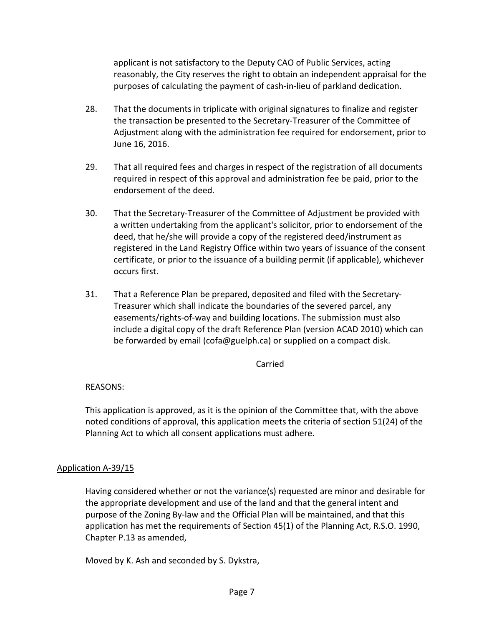applicant is not satisfactory to the Deputy CAO of Public Services, acting reasonably, the City reserves the right to obtain an independent appraisal for the purposes of calculating the payment of cash-in-lieu of parkland dedication.

- 28. That the documents in triplicate with original signatures to finalize and register the transaction be presented to the Secretary-Treasurer of the Committee of Adjustment along with the administration fee required for endorsement, prior to June 16, 2016.
- 29. That all required fees and charges in respect of the registration of all documents required in respect of this approval and administration fee be paid, prior to the endorsement of the deed.
- 30. That the Secretary-Treasurer of the Committee of Adjustment be provided with a written undertaking from the applicant's solicitor, prior to endorsement of the deed, that he/she will provide a copy of the registered deed/instrument as registered in the Land Registry Office within two years of issuance of the consent certificate, or prior to the issuance of a building permit (if applicable), whichever occurs first.
- 31. That a Reference Plan be prepared, deposited and filed with the Secretary-Treasurer which shall indicate the boundaries of the severed parcel, any easements/rights-of-way and building locations. The submission must also include a digital copy of the draft Reference Plan (version ACAD 2010) which can be forwarded by email (cofa@guelph.ca) or supplied on a compact disk.

### Carried

## REASONS:

This application is approved, as it is the opinion of the Committee that, with the above noted conditions of approval, this application meets the criteria of section 51(24) of the Planning Act to which all consent applications must adhere.

### Application A-39/15

Having considered whether or not the variance(s) requested are minor and desirable for the appropriate development and use of the land and that the general intent and purpose of the Zoning By-law and the Official Plan will be maintained, and that this application has met the requirements of Section 45(1) of the Planning Act, R.S.O. 1990, Chapter P.13 as amended,

Moved by K. Ash and seconded by S. Dykstra,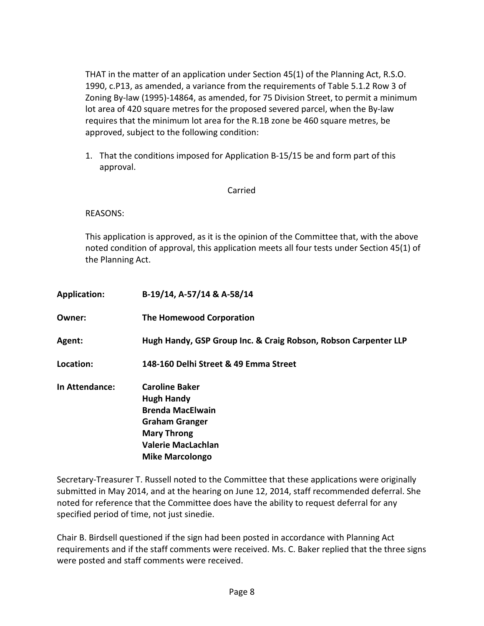THAT in the matter of an application under Section 45(1) of the Planning Act, R.S.O. 1990, c.P13, as amended, a variance from the requirements of Table 5.1.2 Row 3 of Zoning By-law (1995)-14864, as amended, for 75 Division Street, to permit a minimum lot area of 420 square metres for the proposed severed parcel, when the By-law requires that the minimum lot area for the R.1B zone be 460 square metres, be approved, subject to the following condition:

1. That the conditions imposed for Application B-15/15 be and form part of this approval.

### Carried

REASONS:

This application is approved, as it is the opinion of the Committee that, with the above noted condition of approval, this application meets all four tests under Section 45(1) of the Planning Act.

| <b>Application:</b> | B-19/14, A-57/14 & A-58/14                                                                                                                                                  |
|---------------------|-----------------------------------------------------------------------------------------------------------------------------------------------------------------------------|
| Owner:              | <b>The Homewood Corporation</b>                                                                                                                                             |
| Agent:              | Hugh Handy, GSP Group Inc. & Craig Robson, Robson Carpenter LLP                                                                                                             |
| Location:           | 148-160 Delhi Street & 49 Emma Street                                                                                                                                       |
| In Attendance:      | <b>Caroline Baker</b><br><b>Hugh Handy</b><br><b>Brenda MacElwain</b><br><b>Graham Granger</b><br><b>Mary Throng</b><br><b>Valerie MacLachlan</b><br><b>Mike Marcolongo</b> |

Secretary-Treasurer T. Russell noted to the Committee that these applications were originally submitted in May 2014, and at the hearing on June 12, 2014, staff recommended deferral. She noted for reference that the Committee does have the ability to request deferral for any specified period of time, not just sinedie.

Chair B. Birdsell questioned if the sign had been posted in accordance with Planning Act requirements and if the staff comments were received. Ms. C. Baker replied that the three signs were posted and staff comments were received.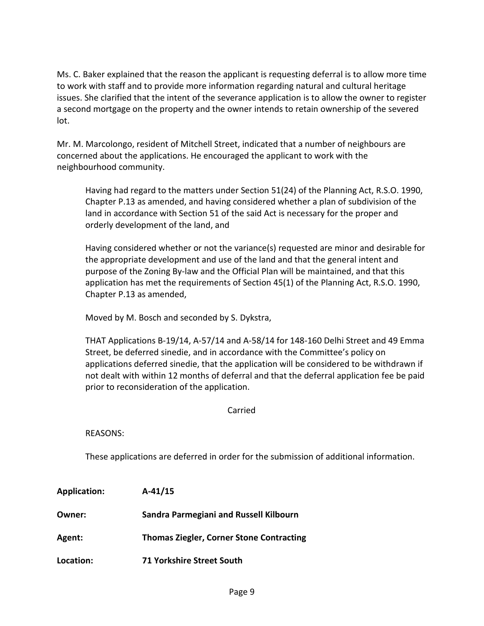Ms. C. Baker explained that the reason the applicant is requesting deferral is to allow more time to work with staff and to provide more information regarding natural and cultural heritage issues. She clarified that the intent of the severance application is to allow the owner to register a second mortgage on the property and the owner intends to retain ownership of the severed lot.

Mr. M. Marcolongo, resident of Mitchell Street, indicated that a number of neighbours are concerned about the applications. He encouraged the applicant to work with the neighbourhood community.

Having had regard to the matters under Section 51(24) of the Planning Act, R.S.O. 1990, Chapter P.13 as amended, and having considered whether a plan of subdivision of the land in accordance with Section 51 of the said Act is necessary for the proper and orderly development of the land, and

Having considered whether or not the variance(s) requested are minor and desirable for the appropriate development and use of the land and that the general intent and purpose of the Zoning By-law and the Official Plan will be maintained, and that this application has met the requirements of Section 45(1) of the Planning Act, R.S.O. 1990, Chapter P.13 as amended,

Moved by M. Bosch and seconded by S. Dykstra,

THAT Applications B-19/14, A-57/14 and A-58/14 for 148-160 Delhi Street and 49 Emma Street, be deferred sinedie, and in accordance with the Committee's policy on applications deferred sinedie, that the application will be considered to be withdrawn if not dealt with within 12 months of deferral and that the deferral application fee be paid prior to reconsideration of the application.

Carried

REASONS:

These applications are deferred in order for the submission of additional information.

| <b>Application:</b> | $A-41/15$                                       |
|---------------------|-------------------------------------------------|
| Owner:              | Sandra Parmegiani and Russell Kilbourn          |
| Agent:              | <b>Thomas Ziegler, Corner Stone Contracting</b> |
| Location:           | <b>71 Yorkshire Street South</b>                |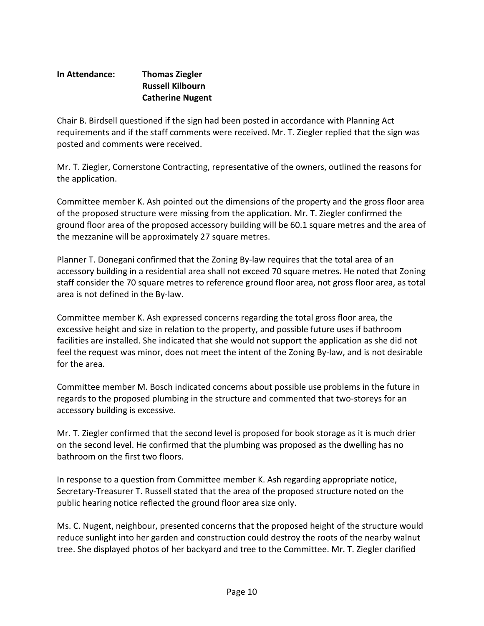## **In Attendance: Thomas Ziegler Russell Kilbourn Catherine Nugent**

Chair B. Birdsell questioned if the sign had been posted in accordance with Planning Act requirements and if the staff comments were received. Mr. T. Ziegler replied that the sign was posted and comments were received.

Mr. T. Ziegler, Cornerstone Contracting, representative of the owners, outlined the reasons for the application.

Committee member K. Ash pointed out the dimensions of the property and the gross floor area of the proposed structure were missing from the application. Mr. T. Ziegler confirmed the ground floor area of the proposed accessory building will be 60.1 square metres and the area of the mezzanine will be approximately 27 square metres.

Planner T. Donegani confirmed that the Zoning By-law requires that the total area of an accessory building in a residential area shall not exceed 70 square metres. He noted that Zoning staff consider the 70 square metres to reference ground floor area, not gross floor area, as total area is not defined in the By-law.

Committee member K. Ash expressed concerns regarding the total gross floor area, the excessive height and size in relation to the property, and possible future uses if bathroom facilities are installed. She indicated that she would not support the application as she did not feel the request was minor, does not meet the intent of the Zoning By-law, and is not desirable for the area.

Committee member M. Bosch indicated concerns about possible use problems in the future in regards to the proposed plumbing in the structure and commented that two-storeys for an accessory building is excessive.

Mr. T. Ziegler confirmed that the second level is proposed for book storage as it is much drier on the second level. He confirmed that the plumbing was proposed as the dwelling has no bathroom on the first two floors.

In response to a question from Committee member K. Ash regarding appropriate notice, Secretary-Treasurer T. Russell stated that the area of the proposed structure noted on the public hearing notice reflected the ground floor area size only.

Ms. C. Nugent, neighbour, presented concerns that the proposed height of the structure would reduce sunlight into her garden and construction could destroy the roots of the nearby walnut tree. She displayed photos of her backyard and tree to the Committee. Mr. T. Ziegler clarified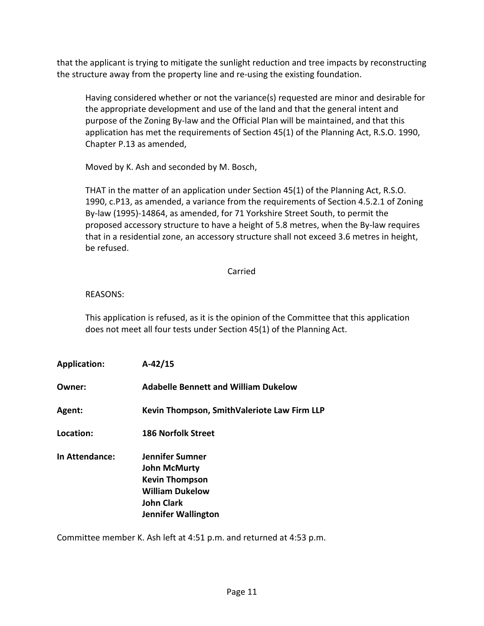that the applicant is trying to mitigate the sunlight reduction and tree impacts by reconstructing the structure away from the property line and re-using the existing foundation.

Having considered whether or not the variance(s) requested are minor and desirable for the appropriate development and use of the land and that the general intent and purpose of the Zoning By-law and the Official Plan will be maintained, and that this application has met the requirements of Section 45(1) of the Planning Act, R.S.O. 1990, Chapter P.13 as amended,

Moved by K. Ash and seconded by M. Bosch,

THAT in the matter of an application under Section 45(1) of the Planning Act, R.S.O. 1990, c.P13, as amended, a variance from the requirements of Section 4.5.2.1 of Zoning By-law (1995)-14864, as amended, for 71 Yorkshire Street South, to permit the proposed accessory structure to have a height of 5.8 metres, when the By-law requires that in a residential zone, an accessory structure shall not exceed 3.6 metres in height, be refused.

### Carried

## REASONS:

This application is refused, as it is the opinion of the Committee that this application does not meet all four tests under Section 45(1) of the Planning Act.

| <b>Application:</b>   | $A-42/15$                                                                                                                                    |
|-----------------------|----------------------------------------------------------------------------------------------------------------------------------------------|
| Owner:                | <b>Adabelle Bennett and William Dukelow</b>                                                                                                  |
| <b>Agent:</b>         | Kevin Thompson, SmithValeriote Law Firm LLP                                                                                                  |
| Location:             | <b>186 Norfolk Street</b>                                                                                                                    |
| <b>In Attendance:</b> | Jennifer Sumner<br><b>John McMurty</b><br><b>Kevin Thompson</b><br><b>William Dukelow</b><br><b>John Clark</b><br><b>Jennifer Wallington</b> |

Committee member K. Ash left at 4:51 p.m. and returned at 4:53 p.m.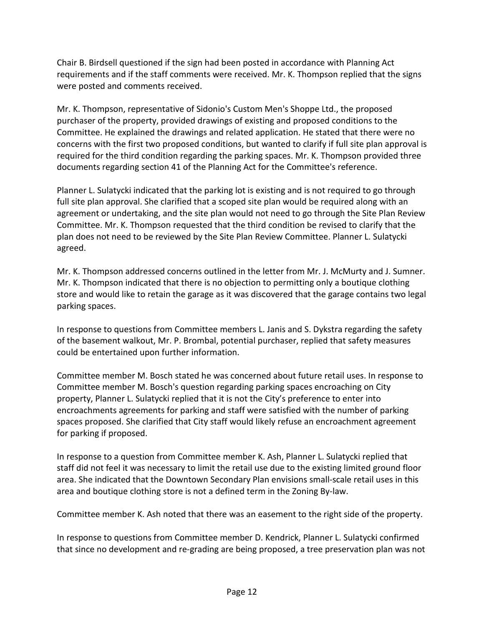Chair B. Birdsell questioned if the sign had been posted in accordance with Planning Act requirements and if the staff comments were received. Mr. K. Thompson replied that the signs were posted and comments received.

Mr. K. Thompson, representative of Sidonio's Custom Men's Shoppe Ltd., the proposed purchaser of the property, provided drawings of existing and proposed conditions to the Committee. He explained the drawings and related application. He stated that there were no concerns with the first two proposed conditions, but wanted to clarify if full site plan approval is required for the third condition regarding the parking spaces. Mr. K. Thompson provided three documents regarding section 41 of the Planning Act for the Committee's reference.

Planner L. Sulatycki indicated that the parking lot is existing and is not required to go through full site plan approval. She clarified that a scoped site plan would be required along with an agreement or undertaking, and the site plan would not need to go through the Site Plan Review Committee. Mr. K. Thompson requested that the third condition be revised to clarify that the plan does not need to be reviewed by the Site Plan Review Committee. Planner L. Sulatycki agreed.

Mr. K. Thompson addressed concerns outlined in the letter from Mr. J. McMurty and J. Sumner. Mr. K. Thompson indicated that there is no objection to permitting only a boutique clothing store and would like to retain the garage as it was discovered that the garage contains two legal parking spaces.

In response to questions from Committee members L. Janis and S. Dykstra regarding the safety of the basement walkout, Mr. P. Brombal, potential purchaser, replied that safety measures could be entertained upon further information.

Committee member M. Bosch stated he was concerned about future retail uses. In response to Committee member M. Bosch's question regarding parking spaces encroaching on City property, Planner L. Sulatycki replied that it is not the City's preference to enter into encroachments agreements for parking and staff were satisfied with the number of parking spaces proposed. She clarified that City staff would likely refuse an encroachment agreement for parking if proposed.

In response to a question from Committee member K. Ash, Planner L. Sulatycki replied that staff did not feel it was necessary to limit the retail use due to the existing limited ground floor area. She indicated that the Downtown Secondary Plan envisions small-scale retail uses in this area and boutique clothing store is not a defined term in the Zoning By-law.

Committee member K. Ash noted that there was an easement to the right side of the property.

In response to questions from Committee member D. Kendrick, Planner L. Sulatycki confirmed that since no development and re-grading are being proposed, a tree preservation plan was not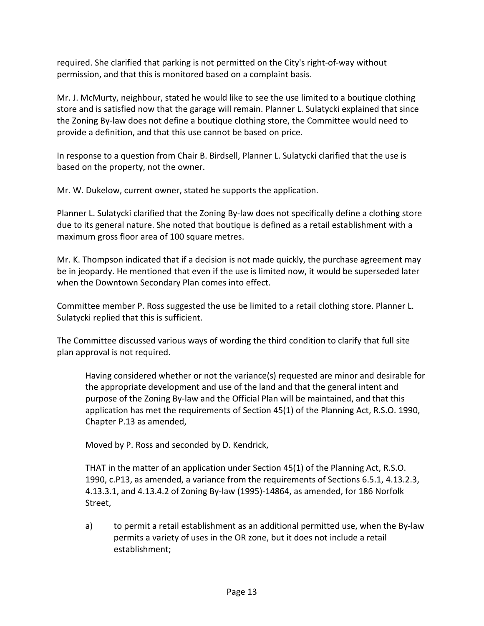required. She clarified that parking is not permitted on the City's right-of-way without permission, and that this is monitored based on a complaint basis.

Mr. J. McMurty, neighbour, stated he would like to see the use limited to a boutique clothing store and is satisfied now that the garage will remain. Planner L. Sulatycki explained that since the Zoning By-law does not define a boutique clothing store, the Committee would need to provide a definition, and that this use cannot be based on price.

In response to a question from Chair B. Birdsell, Planner L. Sulatycki clarified that the use is based on the property, not the owner.

Mr. W. Dukelow, current owner, stated he supports the application.

Planner L. Sulatycki clarified that the Zoning By-law does not specifically define a clothing store due to its general nature. She noted that boutique is defined as a retail establishment with a maximum gross floor area of 100 square metres.

Mr. K. Thompson indicated that if a decision is not made quickly, the purchase agreement may be in jeopardy. He mentioned that even if the use is limited now, it would be superseded later when the Downtown Secondary Plan comes into effect.

Committee member P. Ross suggested the use be limited to a retail clothing store. Planner L. Sulatycki replied that this is sufficient.

The Committee discussed various ways of wording the third condition to clarify that full site plan approval is not required.

Having considered whether or not the variance(s) requested are minor and desirable for the appropriate development and use of the land and that the general intent and purpose of the Zoning By-law and the Official Plan will be maintained, and that this application has met the requirements of Section 45(1) of the Planning Act, R.S.O. 1990, Chapter P.13 as amended,

Moved by P. Ross and seconded by D. Kendrick,

THAT in the matter of an application under Section 45(1) of the Planning Act, R.S.O. 1990, c.P13, as amended, a variance from the requirements of Sections 6.5.1, 4.13.2.3, 4.13.3.1, and 4.13.4.2 of Zoning By-law (1995)-14864, as amended, for 186 Norfolk Street,

a) to permit a retail establishment as an additional permitted use, when the By-law permits a variety of uses in the OR zone, but it does not include a retail establishment;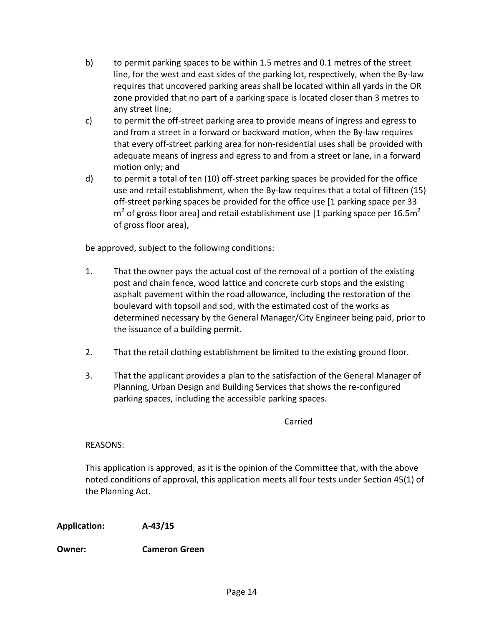- b) to permit parking spaces to be within 1.5 metres and 0.1 metres of the street line, for the west and east sides of the parking lot, respectively, when the By-law requires that uncovered parking areas shall be located within all yards in the OR zone provided that no part of a parking space is located closer than 3 metres to any street line;
- c) to permit the off-street parking area to provide means of ingress and egress to and from a street in a forward or backward motion, when the By-law requires that every off-street parking area for non-residential uses shall be provided with adequate means of ingress and egress to and from a street or lane, in a forward motion only; and
- d) to permit a total of ten (10) off-street parking spaces be provided for the office use and retail establishment, when the By-law requires that a total of fifteen (15) off-street parking spaces be provided for the office use [1 parking space per 33  $m<sup>2</sup>$  of gross floor area] and retail establishment use [1 parking space per 16.5m<sup>2</sup> of gross floor area),

be approved, subject to the following conditions:

- 1. That the owner pays the actual cost of the removal of a portion of the existing post and chain fence, wood lattice and concrete curb stops and the existing asphalt pavement within the road allowance, including the restoration of the boulevard with topsoil and sod, with the estimated cost of the works as determined necessary by the General Manager/City Engineer being paid, prior to the issuance of a building permit.
- 2. That the retail clothing establishment be limited to the existing ground floor.
- 3. That the applicant provides a plan to the satisfaction of the General Manager of Planning, Urban Design and Building Services that shows the re-configured parking spaces, including the accessible parking spaces.

Carried

REASONS:

This application is approved, as it is the opinion of the Committee that, with the above noted conditions of approval, this application meets all four tests under Section 45(1) of the Planning Act.

**Application: A-43/15**

**Owner: Cameron Green**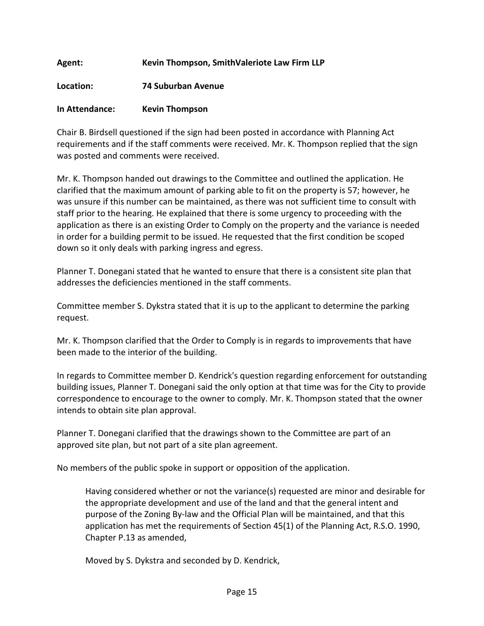# **Agent: Kevin Thompson, SmithValeriote Law Firm LLP**

**Location: 74 Suburban Avenue**

## **In Attendance: Kevin Thompson**

Chair B. Birdsell questioned if the sign had been posted in accordance with Planning Act requirements and if the staff comments were received. Mr. K. Thompson replied that the sign was posted and comments were received.

Mr. K. Thompson handed out drawings to the Committee and outlined the application. He clarified that the maximum amount of parking able to fit on the property is 57; however, he was unsure if this number can be maintained, as there was not sufficient time to consult with staff prior to the hearing. He explained that there is some urgency to proceeding with the application as there is an existing Order to Comply on the property and the variance is needed in order for a building permit to be issued. He requested that the first condition be scoped down so it only deals with parking ingress and egress.

Planner T. Donegani stated that he wanted to ensure that there is a consistent site plan that addresses the deficiencies mentioned in the staff comments.

Committee member S. Dykstra stated that it is up to the applicant to determine the parking request.

Mr. K. Thompson clarified that the Order to Comply is in regards to improvements that have been made to the interior of the building.

In regards to Committee member D. Kendrick's question regarding enforcement for outstanding building issues, Planner T. Donegani said the only option at that time was for the City to provide correspondence to encourage to the owner to comply. Mr. K. Thompson stated that the owner intends to obtain site plan approval.

Planner T. Donegani clarified that the drawings shown to the Committee are part of an approved site plan, but not part of a site plan agreement.

No members of the public spoke in support or opposition of the application.

Having considered whether or not the variance(s) requested are minor and desirable for the appropriate development and use of the land and that the general intent and purpose of the Zoning By-law and the Official Plan will be maintained, and that this application has met the requirements of Section 45(1) of the Planning Act, R.S.O. 1990, Chapter P.13 as amended,

Moved by S. Dykstra and seconded by D. Kendrick,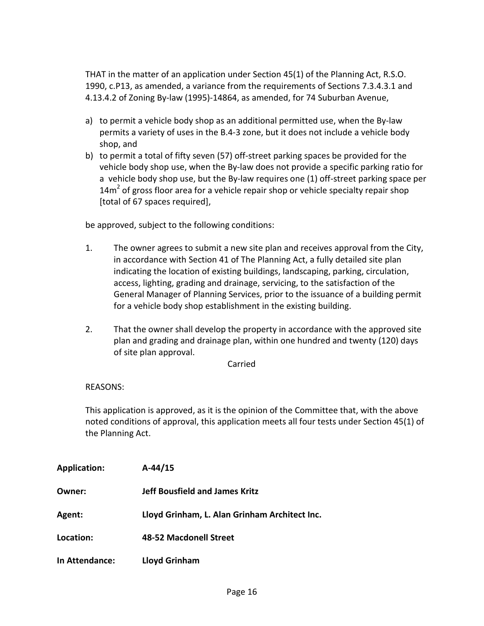THAT in the matter of an application under Section 45(1) of the Planning Act, R.S.O. 1990, c.P13, as amended, a variance from the requirements of Sections 7.3.4.3.1 and 4.13.4.2 of Zoning By-law (1995)-14864, as amended, for 74 Suburban Avenue,

- a) to permit a vehicle body shop as an additional permitted use, when the By-law permits a variety of uses in the B.4-3 zone, but it does not include a vehicle body shop, and
- b) to permit a total of fifty seven (57) off-street parking spaces be provided for the vehicle body shop use, when the By-law does not provide a specific parking ratio for a vehicle body shop use, but the By-law requires one (1) off-street parking space per  $14m<sup>2</sup>$  of gross floor area for a vehicle repair shop or vehicle specialty repair shop [total of 67 spaces required],

be approved, subject to the following conditions:

- 1. The owner agrees to submit a new site plan and receives approval from the City, in accordance with Section 41 of The Planning Act, a fully detailed site plan indicating the location of existing buildings, landscaping, parking, circulation, access, lighting, grading and drainage, servicing, to the satisfaction of the General Manager of Planning Services, prior to the issuance of a building permit for a vehicle body shop establishment in the existing building.
- 2. That the owner shall develop the property in accordance with the approved site plan and grading and drainage plan, within one hundred and twenty (120) days of site plan approval.

Carried

### REASONS:

This application is approved, as it is the opinion of the Committee that, with the above noted conditions of approval, this application meets all four tests under Section 45(1) of the Planning Act.

| <b>Application:</b> | $A-44/15$                                     |
|---------------------|-----------------------------------------------|
| Owner:              | <b>Jeff Bousfield and James Kritz</b>         |
| Agent:              | Lloyd Grinham, L. Alan Grinham Architect Inc. |
| Location:           | 48-52 Macdonell Street                        |
| In Attendance:      | <b>Lloyd Grinham</b>                          |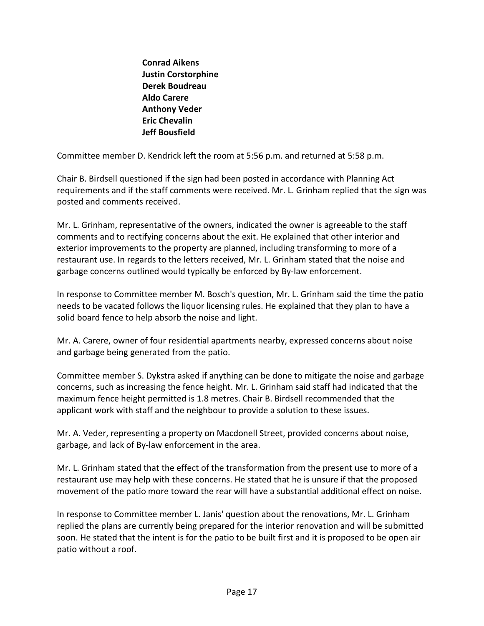**Conrad Aikens Justin Corstorphine Derek Boudreau Aldo Carere Anthony Veder Eric Chevalin Jeff Bousfield**

Committee member D. Kendrick left the room at 5:56 p.m. and returned at 5:58 p.m.

Chair B. Birdsell questioned if the sign had been posted in accordance with Planning Act requirements and if the staff comments were received. Mr. L. Grinham replied that the sign was posted and comments received.

Mr. L. Grinham, representative of the owners, indicated the owner is agreeable to the staff comments and to rectifying concerns about the exit. He explained that other interior and exterior improvements to the property are planned, including transforming to more of a restaurant use. In regards to the letters received, Mr. L. Grinham stated that the noise and garbage concerns outlined would typically be enforced by By-law enforcement.

In response to Committee member M. Bosch's question, Mr. L. Grinham said the time the patio needs to be vacated follows the liquor licensing rules. He explained that they plan to have a solid board fence to help absorb the noise and light.

Mr. A. Carere, owner of four residential apartments nearby, expressed concerns about noise and garbage being generated from the patio.

Committee member S. Dykstra asked if anything can be done to mitigate the noise and garbage concerns, such as increasing the fence height. Mr. L. Grinham said staff had indicated that the maximum fence height permitted is 1.8 metres. Chair B. Birdsell recommended that the applicant work with staff and the neighbour to provide a solution to these issues.

Mr. A. Veder, representing a property on Macdonell Street, provided concerns about noise, garbage, and lack of By-law enforcement in the area.

Mr. L. Grinham stated that the effect of the transformation from the present use to more of a restaurant use may help with these concerns. He stated that he is unsure if that the proposed movement of the patio more toward the rear will have a substantial additional effect on noise.

In response to Committee member L. Janis' question about the renovations, Mr. L. Grinham replied the plans are currently being prepared for the interior renovation and will be submitted soon. He stated that the intent is for the patio to be built first and it is proposed to be open air patio without a roof.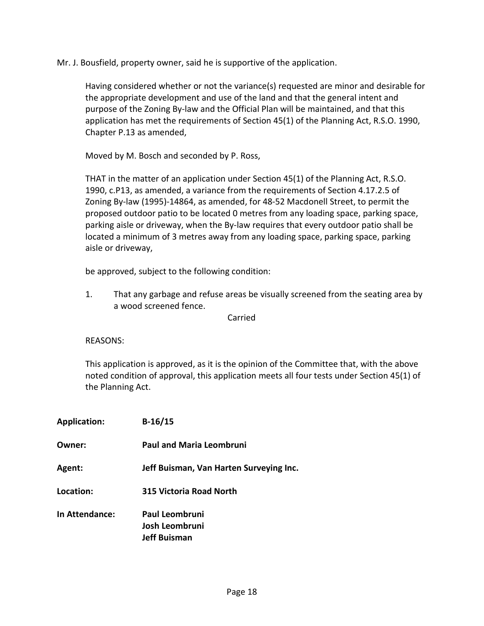Mr. J. Bousfield, property owner, said he is supportive of the application.

Having considered whether or not the variance(s) requested are minor and desirable for the appropriate development and use of the land and that the general intent and purpose of the Zoning By-law and the Official Plan will be maintained, and that this application has met the requirements of Section 45(1) of the Planning Act, R.S.O. 1990, Chapter P.13 as amended,

Moved by M. Bosch and seconded by P. Ross,

THAT in the matter of an application under Section 45(1) of the Planning Act, R.S.O. 1990, c.P13, as amended, a variance from the requirements of Section 4.17.2.5 of Zoning By-law (1995)-14864, as amended, for 48-52 Macdonell Street, to permit the proposed outdoor patio to be located 0 metres from any loading space, parking space, parking aisle or driveway, when the By-law requires that every outdoor patio shall be located a minimum of 3 metres away from any loading space, parking space, parking aisle or driveway,

be approved, subject to the following condition:

1. That any garbage and refuse areas be visually screened from the seating area by a wood screened fence.

Carried

REASONS:

This application is approved, as it is the opinion of the Committee that, with the above noted condition of approval, this application meets all four tests under Section 45(1) of the Planning Act.

| <b>Application:</b>   | $B-16/15$                               |
|-----------------------|-----------------------------------------|
| Owner:                | <b>Paul and Maria Leombruni</b>         |
| Agent:                | Jeff Buisman, Van Harten Surveying Inc. |
| Location:             | 315 Victoria Road North                 |
| <b>In Attendance:</b> | <b>Paul Leombruni</b>                   |
|                       | Josh Leombruni                          |
|                       | <b>Jeff Buisman</b>                     |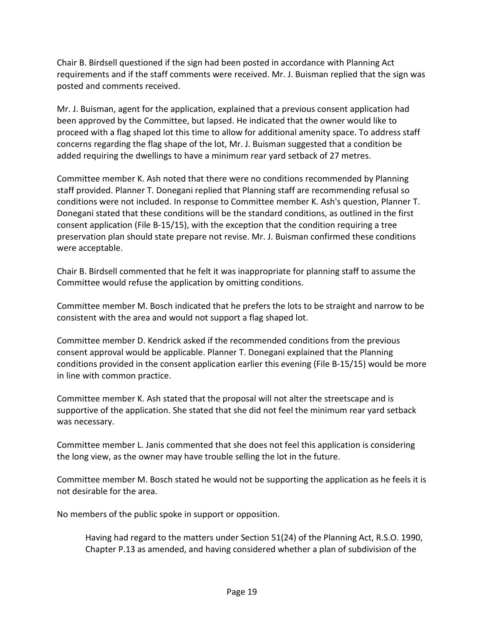Chair B. Birdsell questioned if the sign had been posted in accordance with Planning Act requirements and if the staff comments were received. Mr. J. Buisman replied that the sign was posted and comments received.

Mr. J. Buisman, agent for the application, explained that a previous consent application had been approved by the Committee, but lapsed. He indicated that the owner would like to proceed with a flag shaped lot this time to allow for additional amenity space. To address staff concerns regarding the flag shape of the lot, Mr. J. Buisman suggested that a condition be added requiring the dwellings to have a minimum rear yard setback of 27 metres.

Committee member K. Ash noted that there were no conditions recommended by Planning staff provided. Planner T. Donegani replied that Planning staff are recommending refusal so conditions were not included. In response to Committee member K. Ash's question, Planner T. Donegani stated that these conditions will be the standard conditions, as outlined in the first consent application (File B-15/15), with the exception that the condition requiring a tree preservation plan should state prepare not revise. Mr. J. Buisman confirmed these conditions were acceptable.

Chair B. Birdsell commented that he felt it was inappropriate for planning staff to assume the Committee would refuse the application by omitting conditions.

Committee member M. Bosch indicated that he prefers the lots to be straight and narrow to be consistent with the area and would not support a flag shaped lot.

Committee member D. Kendrick asked if the recommended conditions from the previous consent approval would be applicable. Planner T. Donegani explained that the Planning conditions provided in the consent application earlier this evening (File B-15/15) would be more in line with common practice.

Committee member K. Ash stated that the proposal will not alter the streetscape and is supportive of the application. She stated that she did not feel the minimum rear yard setback was necessary.

Committee member L. Janis commented that she does not feel this application is considering the long view, as the owner may have trouble selling the lot in the future.

Committee member M. Bosch stated he would not be supporting the application as he feels it is not desirable for the area.

No members of the public spoke in support or opposition.

Having had regard to the matters under Section 51(24) of the Planning Act, R.S.O. 1990, Chapter P.13 as amended, and having considered whether a plan of subdivision of the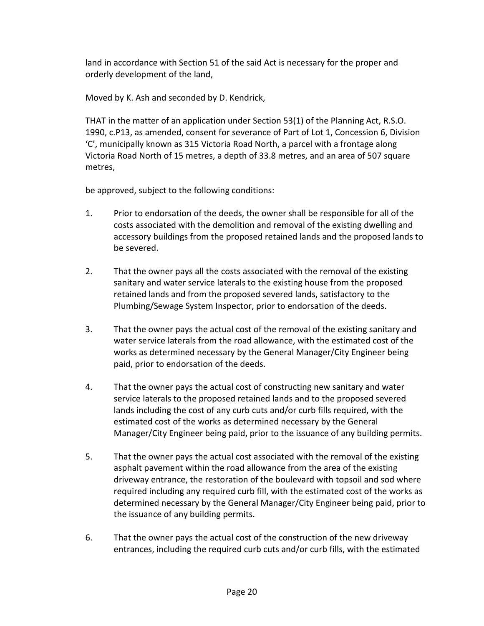land in accordance with Section 51 of the said Act is necessary for the proper and orderly development of the land,

Moved by K. Ash and seconded by D. Kendrick,

THAT in the matter of an application under Section 53(1) of the Planning Act, R.S.O. 1990, c.P13, as amended, consent for severance of Part of Lot 1, Concession 6, Division 'C', municipally known as 315 Victoria Road North, a parcel with a frontage along Victoria Road North of 15 metres, a depth of 33.8 metres, and an area of 507 square metres,

be approved, subject to the following conditions:

- 1. Prior to endorsation of the deeds, the owner shall be responsible for all of the costs associated with the demolition and removal of the existing dwelling and accessory buildings from the proposed retained lands and the proposed lands to be severed.
- 2. That the owner pays all the costs associated with the removal of the existing sanitary and water service laterals to the existing house from the proposed retained lands and from the proposed severed lands, satisfactory to the Plumbing/Sewage System Inspector, prior to endorsation of the deeds.
- 3. That the owner pays the actual cost of the removal of the existing sanitary and water service laterals from the road allowance, with the estimated cost of the works as determined necessary by the General Manager/City Engineer being paid, prior to endorsation of the deeds.
- 4. That the owner pays the actual cost of constructing new sanitary and water service laterals to the proposed retained lands and to the proposed severed lands including the cost of any curb cuts and/or curb fills required, with the estimated cost of the works as determined necessary by the General Manager/City Engineer being paid, prior to the issuance of any building permits.
- 5. That the owner pays the actual cost associated with the removal of the existing asphalt pavement within the road allowance from the area of the existing driveway entrance, the restoration of the boulevard with topsoil and sod where required including any required curb fill, with the estimated cost of the works as determined necessary by the General Manager/City Engineer being paid, prior to the issuance of any building permits.
- 6. That the owner pays the actual cost of the construction of the new driveway entrances, including the required curb cuts and/or curb fills, with the estimated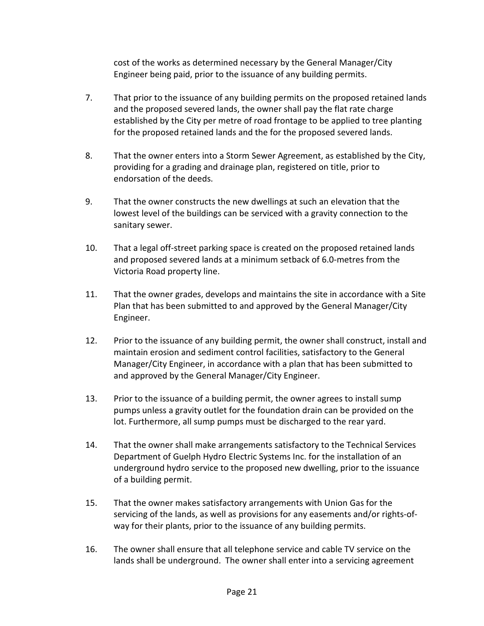cost of the works as determined necessary by the General Manager/City Engineer being paid, prior to the issuance of any building permits.

- 7. That prior to the issuance of any building permits on the proposed retained lands and the proposed severed lands, the owner shall pay the flat rate charge established by the City per metre of road frontage to be applied to tree planting for the proposed retained lands and the for the proposed severed lands.
- 8. That the owner enters into a Storm Sewer Agreement, as established by the City, providing for a grading and drainage plan, registered on title, prior to endorsation of the deeds.
- 9. That the owner constructs the new dwellings at such an elevation that the lowest level of the buildings can be serviced with a gravity connection to the sanitary sewer.
- 10. That a legal off-street parking space is created on the proposed retained lands and proposed severed lands at a minimum setback of 6.0-metres from the Victoria Road property line.
- 11. That the owner grades, develops and maintains the site in accordance with a Site Plan that has been submitted to and approved by the General Manager/City Engineer.
- 12. Prior to the issuance of any building permit, the owner shall construct, install and maintain erosion and sediment control facilities, satisfactory to the General Manager/City Engineer, in accordance with a plan that has been submitted to and approved by the General Manager/City Engineer.
- 13. Prior to the issuance of a building permit, the owner agrees to install sump pumps unless a gravity outlet for the foundation drain can be provided on the lot. Furthermore, all sump pumps must be discharged to the rear yard.
- 14. That the owner shall make arrangements satisfactory to the Technical Services Department of Guelph Hydro Electric Systems Inc. for the installation of an underground hydro service to the proposed new dwelling, prior to the issuance of a building permit.
- 15. That the owner makes satisfactory arrangements with Union Gas for the servicing of the lands, as well as provisions for any easements and/or rights-ofway for their plants, prior to the issuance of any building permits.
- 16. The owner shall ensure that all telephone service and cable TV service on the lands shall be underground. The owner shall enter into a servicing agreement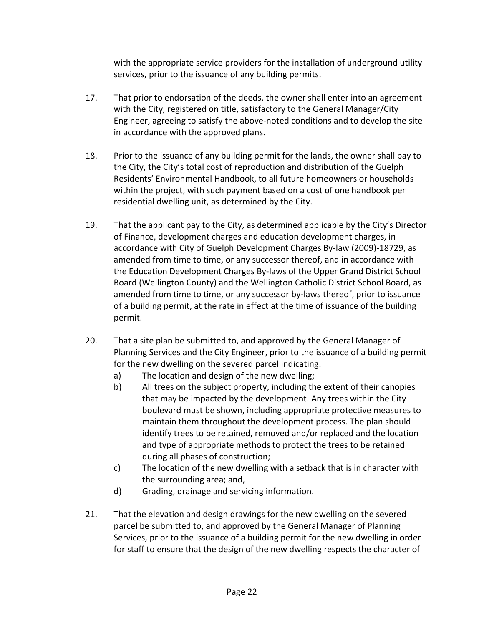with the appropriate service providers for the installation of underground utility services, prior to the issuance of any building permits.

- 17. That prior to endorsation of the deeds, the owner shall enter into an agreement with the City, registered on title, satisfactory to the General Manager/City Engineer, agreeing to satisfy the above-noted conditions and to develop the site in accordance with the approved plans.
- 18. Prior to the issuance of any building permit for the lands, the owner shall pay to the City, the City's total cost of reproduction and distribution of the Guelph Residents' Environmental Handbook, to all future homeowners or households within the project, with such payment based on a cost of one handbook per residential dwelling unit, as determined by the City.
- 19. That the applicant pay to the City, as determined applicable by the City's Director of Finance, development charges and education development charges, in accordance with City of Guelph Development Charges By-law (2009)-18729, as amended from time to time, or any successor thereof, and in accordance with the Education Development Charges By-laws of the Upper Grand District School Board (Wellington County) and the Wellington Catholic District School Board, as amended from time to time, or any successor by-laws thereof, prior to issuance of a building permit, at the rate in effect at the time of issuance of the building permit.
- 20. That a site plan be submitted to, and approved by the General Manager of Planning Services and the City Engineer, prior to the issuance of a building permit for the new dwelling on the severed parcel indicating:
	- a) The location and design of the new dwelling;
	- b) All trees on the subject property, including the extent of their canopies that may be impacted by the development. Any trees within the City boulevard must be shown, including appropriate protective measures to maintain them throughout the development process. The plan should identify trees to be retained, removed and/or replaced and the location and type of appropriate methods to protect the trees to be retained during all phases of construction;
	- c) The location of the new dwelling with a setback that is in character with the surrounding area; and,
	- d) Grading, drainage and servicing information.
- 21. That the elevation and design drawings for the new dwelling on the severed parcel be submitted to, and approved by the General Manager of Planning Services, prior to the issuance of a building permit for the new dwelling in order for staff to ensure that the design of the new dwelling respects the character of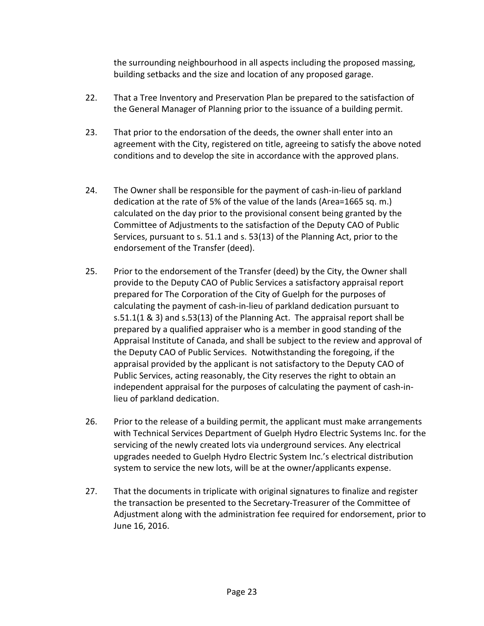the surrounding neighbourhood in all aspects including the proposed massing, building setbacks and the size and location of any proposed garage.

- 22. That a Tree Inventory and Preservation Plan be prepared to the satisfaction of the General Manager of Planning prior to the issuance of a building permit.
- 23. That prior to the endorsation of the deeds, the owner shall enter into an agreement with the City, registered on title, agreeing to satisfy the above noted conditions and to develop the site in accordance with the approved plans.
- 24. The Owner shall be responsible for the payment of cash-in-lieu of parkland dedication at the rate of 5% of the value of the lands (Area=1665 sq. m.) calculated on the day prior to the provisional consent being granted by the Committee of Adjustments to the satisfaction of the Deputy CAO of Public Services, pursuant to s. 51.1 and s. 53(13) of the Planning Act, prior to the endorsement of the Transfer (deed).
- 25. Prior to the endorsement of the Transfer (deed) by the City, the Owner shall provide to the Deputy CAO of Public Services a satisfactory appraisal report prepared for The Corporation of the City of Guelph for the purposes of calculating the payment of cash-in-lieu of parkland dedication pursuant to s.51.1(1 & 3) and s.53(13) of the Planning Act. The appraisal report shall be prepared by a qualified appraiser who is a member in good standing of the Appraisal Institute of Canada, and shall be subject to the review and approval of the Deputy CAO of Public Services. Notwithstanding the foregoing, if the appraisal provided by the applicant is not satisfactory to the Deputy CAO of Public Services, acting reasonably, the City reserves the right to obtain an independent appraisal for the purposes of calculating the payment of cash-inlieu of parkland dedication.
- 26. Prior to the release of a building permit, the applicant must make arrangements with Technical Services Department of Guelph Hydro Electric Systems Inc. for the servicing of the newly created lots via underground services. Any electrical upgrades needed to Guelph Hydro Electric System Inc.'s electrical distribution system to service the new lots, will be at the owner/applicants expense.
- 27. That the documents in triplicate with original signatures to finalize and register the transaction be presented to the Secretary-Treasurer of the Committee of Adjustment along with the administration fee required for endorsement, prior to June 16, 2016.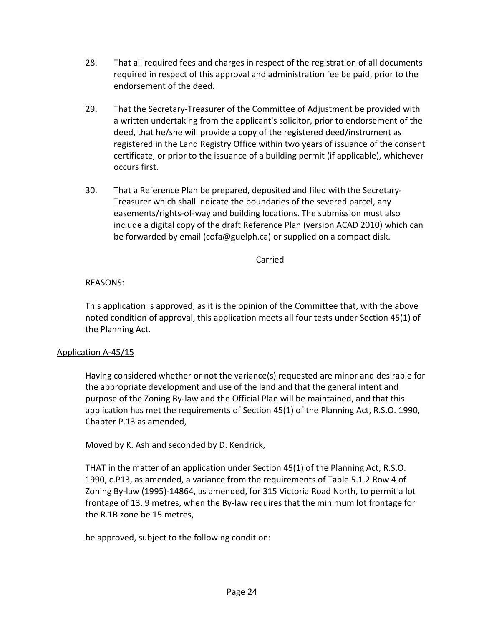- 28. That all required fees and charges in respect of the registration of all documents required in respect of this approval and administration fee be paid, prior to the endorsement of the deed.
- 29. That the Secretary-Treasurer of the Committee of Adjustment be provided with a written undertaking from the applicant's solicitor, prior to endorsement of the deed, that he/she will provide a copy of the registered deed/instrument as registered in the Land Registry Office within two years of issuance of the consent certificate, or prior to the issuance of a building permit (if applicable), whichever occurs first.
- 30. That a Reference Plan be prepared, deposited and filed with the Secretary-Treasurer which shall indicate the boundaries of the severed parcel, any easements/rights-of-way and building locations. The submission must also include a digital copy of the draft Reference Plan (version ACAD 2010) which can be forwarded by email (cofa@guelph.ca) or supplied on a compact disk.

### Carried

# REASONS:

This application is approved, as it is the opinion of the Committee that, with the above noted condition of approval, this application meets all four tests under Section 45(1) of the Planning Act.

## Application A-45/15

Having considered whether or not the variance(s) requested are minor and desirable for the appropriate development and use of the land and that the general intent and purpose of the Zoning By-law and the Official Plan will be maintained, and that this application has met the requirements of Section 45(1) of the Planning Act, R.S.O. 1990, Chapter P.13 as amended,

Moved by K. Ash and seconded by D. Kendrick,

THAT in the matter of an application under Section 45(1) of the Planning Act, R.S.O. 1990, c.P13, as amended, a variance from the requirements of Table 5.1.2 Row 4 of Zoning By-law (1995)-14864, as amended, for 315 Victoria Road North, to permit a lot frontage of 13. 9 metres, when the By-law requires that the minimum lot frontage for the R.1B zone be 15 metres,

be approved, subject to the following condition: